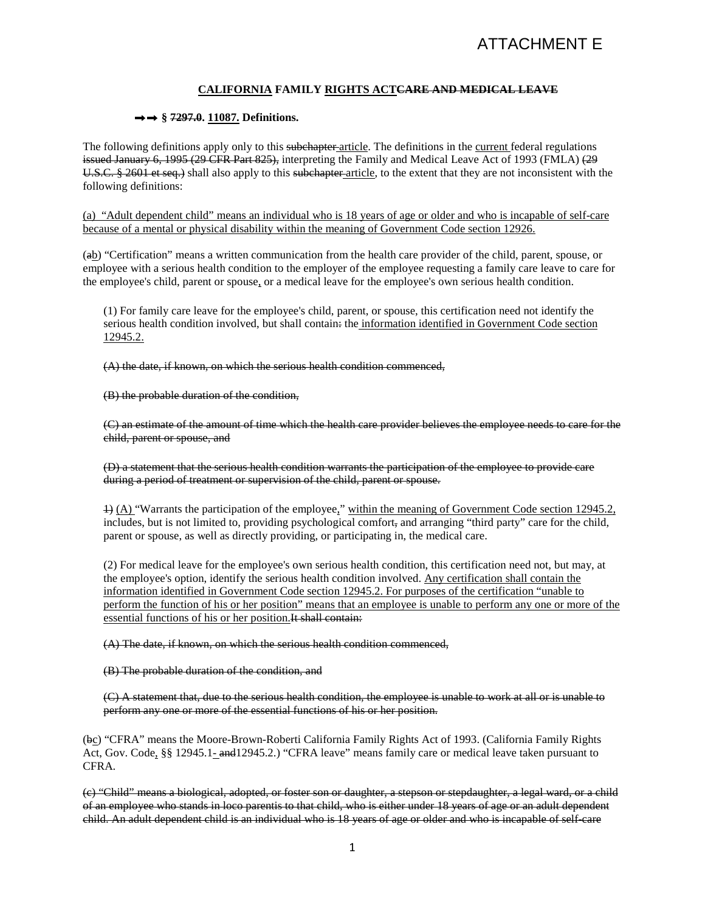# **CALIFORNIA FAMILY RIGHTS ACTCARE AND MEDICAL LEAVE**

# **§ 7297.0. 11087. Definitions.**

The following definitions apply only to this subchapter-article. The definitions in the current federal regulations issued January 6, 1995 (29 CFR Part 825), interpreting the Family and Medical Leave Act of 1993 (FMLA) (29 U.S.C. § 2601 et seq.) shall also apply to this subchapter article, to the extent that they are not inconsistent with the following definitions:

(a) "Adult dependent child" means an individual who is 18 years of age or older and who is incapable of self-care because of a mental or physical disability within the meaning of Government Code section 12926.

(ab) "Certification" means a written communication from the health care provider of the child, parent, spouse, or employee with a serious health condition to the employer of the employee requesting a family care leave to care for the employee's child, parent or spouse, or a medical leave for the employee's own serious health condition.

(1) For family care leave for the employee's child, parent, or spouse, this certification need not identify the serious health condition involved, but shall contain: the information identified in Government Code section 12945.2.

(A) the date, if known, on which the serious health condition commenced,

(B) the probable duration of the condition,

(C) an estimate of the amount of time which the health care provider believes the employee needs to care for the child, parent or spouse, and

(D) a statement that the serious health condition warrants the participation of the employee to provide care during a period of treatment or supervision of the child, parent or spouse.

1) (A) "Warrants the participation of the employee," within the meaning of Government Code section 12945.2, includes, but is not limited to, providing psychological comfort, and arranging "third party" care for the child, parent or spouse, as well as directly providing, or participating in, the medical care.

(2) For medical leave for the employee's own serious health condition, this certification need not, but may, at the employee's option, identify the serious health condition involved. Any certification shall contain the information identified in Government Code section 12945.2. For purposes of the certification "unable to perform the function of his or her position" means that an employee is unable to perform any one or more of the essential functions of his or her position. It shall contain:

(A) The date, if known, on which the serious health condition commenced,

### (B) The probable duration of the condition, and

# (C) A statement that, due to the serious health condition, the employee is unable to work at all or is unable to perform any one or more of the essential functions of his or her position.

(bc) "CFRA" means the Moore-Brown-Roberti California Family Rights Act of 1993. (California Family Rights Act, Gov. Code, §§ 12945.1- and 12945.2.) "CFRA leave" means family care or medical leave taken pursuant to CFRA.

(c) "Child" means a biological, adopted, or foster son or daughter, a stepson or stepdaughter, a legal ward, or a child of an employee who stands in loco parentis to that child, who is either under 18 years of age or an adult dependent child. An adult dependent child is an individual who is 18 years of age or older and who is incapable of self-care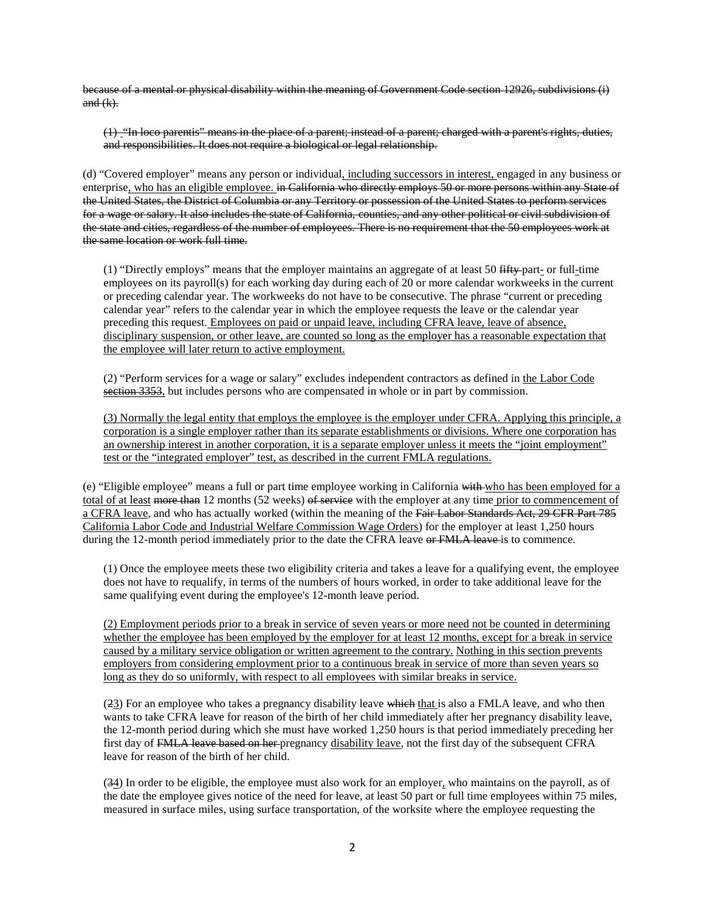because of a mental or physical disability within the meaning of Government Code section 12926, subdivisions (i) and  $(k)$ .

(1) "In loco parentis" means in the place of a parent; instead of a parent; charged with a parent's rights, duties, and responsibilities. It does not require a biological or legal relationship.

(d) "Covered employer" means any person or individual, including successors in interest, engaged in any business or enterprise, who has an eligible employee. in California who directly employs 50 or more persons within any State of the United States, the District of Columbia or any Territory or possession of the United States to perform services for a wage or salary. It also includes the state of California, counties, and any other political or civil subdivision of the state and cities, regardless of the number of employees. There is no requirement that the 50 employees work at the same location or work full time.

(1) "Directly employs" means that the employer maintains an aggregate of at least 50  $\frac{f}{f}$  part- or full-time employees on its payroll(s) for each working day during each of 20 or more calendar workweeks in the current or preceding calendar year. The workweeks do not have to be consecutive. The phrase "current or preceding calendar year" refers to the calendar year in which the employee requests the leave or the calendar year preceding this request. Employees on paid or unpaid leave, including CFRA leave, leave of absence, disciplinary suspension, or other leave, are counted so long as the employer has a reasonable expectation that the employee will later return to active employment.

(2) "Perform services for a wage or salary" excludes independent contractors as defined in the Labor Code section 3353, but includes persons who are compensated in whole or in part by commission.

(3) Normally the legal entity that employs the employee is the employer under CFRA. Applying this principle, a corporation is a single employer rather than its separate establishments or divisions. Where one corporation has an ownership interest in another corporation, it is a separate employer unless it meets the "joint employment" test or the "integrated employer" test, as described in the current FMLA regulations.

(e) "Eligible employee" means a full or part time employee working in California with who has been employed for a total of at least more than 12 months (52 weeks) of service with the employer at any time prior to commencement of a CFRA leave, and who has actually worked (within the meaning of the Fair Labor Standards Act, 29 CFR Part 785 California Labor Code and Industrial Welfare Commission Wage Orders) for the employer at least 1,250 hours during the 12-month period immediately prior to the date the CFRA leave or FMLA leave is to commence.

(1) Once the employee meets these two eligibility criteria and takes a leave for a qualifying event, the employee does not have to requalify, in terms of the numbers of hours worked, in order to take additional leave for the same qualifying event during the employee's 12-month leave period.

(2) Employment periods prior to a break in service of seven years or more need not be counted in determining whether the employee has been employed by the employer for at least 12 months, except for a break in service caused by a military service obligation or written agreement to the contrary. Nothing in this section prevents employers from considering employment prior to a continuous break in service of more than seven years so long as they do so uniformly, with respect to all employees with similar breaks in service.

(23) For an employee who takes a pregnancy disability leave which that is also a FMLA leave, and who then wants to take CFRA leave for reason of the birth of her child immediately after her pregnancy disability leave, the 12-month period during which she must have worked 1,250 hours is that period immediately preceding her first day of FMLA leave based on her pregnancy disability leave, not the first day of the subsequent CFRA leave for reason of the birth of her child.

(34) In order to be eligible, the employee must also work for an employer, who maintains on the payroll, as of the date the employee gives notice of the need for leave, at least 50 part or full time employees within 75 miles, measured in surface miles, using surface transportation, of the worksite where the employee requesting the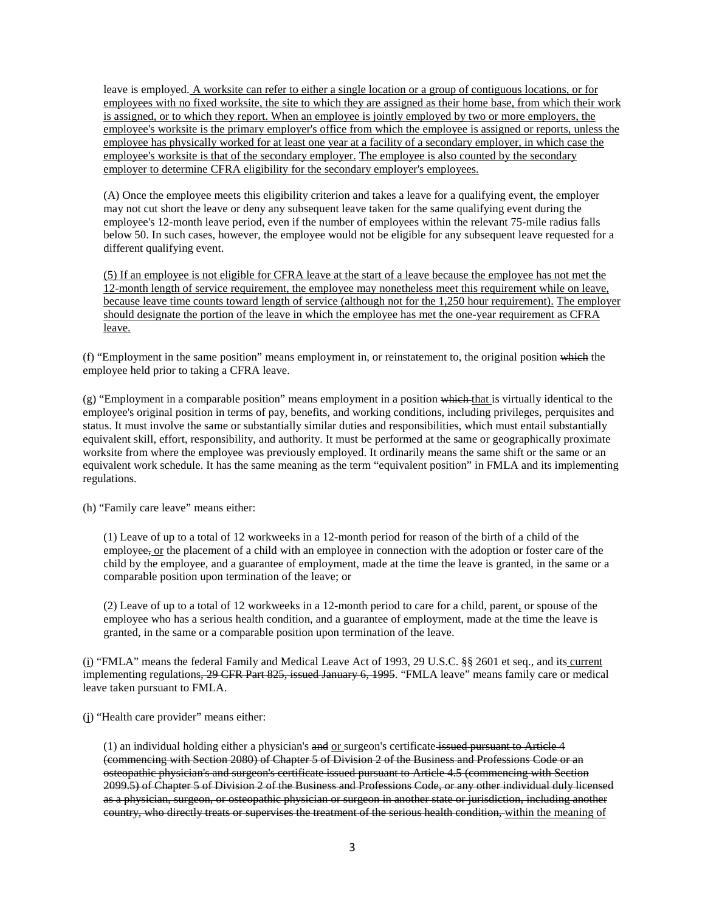leave is employed. A worksite can refer to either a single location or a group of contiguous locations, or for employees with no fixed worksite, the site to which they are assigned as their home base, from which their work is assigned, or to which they report. When an employee is jointly employed by two or more employers, the employee's worksite is the primary employer's office from which the employee is assigned or reports, unless the employee has physically worked for at least one year at a facility of a secondary employer, in which case the employee's worksite is that of the secondary employer. The employee is also counted by the secondary employer to determine CFRA eligibility for the secondary employer's employees.

(A) Once the employee meets this eligibility criterion and takes a leave for a qualifying event, the employer may not cut short the leave or deny any subsequent leave taken for the same qualifying event during the employee's 12-month leave period, even if the number of employees within the relevant 75-mile radius falls below 50. In such cases, however, the employee would not be eligible for any subsequent leave requested for a different qualifying event.

(5) If an employee is not eligible for CFRA leave at the start of a leave because the employee has not met the 12-month length of service requirement, the employee may nonetheless meet this requirement while on leave, because leave time counts toward length of service (although not for the 1,250 hour requirement). The employer should designate the portion of the leave in which the employee has met the one-year requirement as CFRA leave.

(f) "Employment in the same position" means employment in, or reinstatement to, the original position which the employee held prior to taking a CFRA leave.

(g) "Employment in a comparable position" means employment in a position which that is virtually identical to the employee's original position in terms of pay, benefits, and working conditions, including privileges, perquisites and status. It must involve the same or substantially similar duties and responsibilities, which must entail substantially equivalent skill, effort, responsibility, and authority. It must be performed at the same or geographically proximate worksite from where the employee was previously employed. It ordinarily means the same shift or the same or an equivalent work schedule. It has the same meaning as the term "equivalent position" in FMLA and its implementing regulations.

(h) "Family care leave" means either:

(1) Leave of up to a total of 12 workweeks in a 12-month period for reason of the birth of a child of the employee, or the placement of a child with an employee in connection with the adoption or foster care of the child by the employee, and a guarantee of employment, made at the time the leave is granted, in the same or a comparable position upon termination of the leave; or

(2) Leave of up to a total of 12 workweeks in a 12-month period to care for a child, parent, or spouse of the employee who has a serious health condition, and a guarantee of employment, made at the time the leave is granted, in the same or a comparable position upon termination of the leave.

(i) "FMLA" means the federal Family and Medical Leave Act of 1993, 29 U.S.C. §§ 2601 et seq., and its current implementing regulations, 29 CFR Part 825, issued January 6, 1995. "FMLA leave" means family care or medical leave taken pursuant to FMLA.

(j) "Health care provider" means either:

(1) an individual holding either a physician's  $\frac{1}{2}$  and  $\frac{1}{2}$  certificate issued pursuant to Article 4 (commencing with Section 2080) of Chapter 5 of Division 2 of the Business and Professions Code or an osteopathic physician's and surgeon's certificate issued pursuant to Article 4.5 (commencing with Section 2099.5) of Chapter 5 of Division 2 of the Business and Professions Code, or any other individual duly licensed as a physician, surgeon, or osteopathic physician or surgeon in another state or jurisdiction, including another country, who directly treats or supervises the treatment of the serious health condition, within the meaning of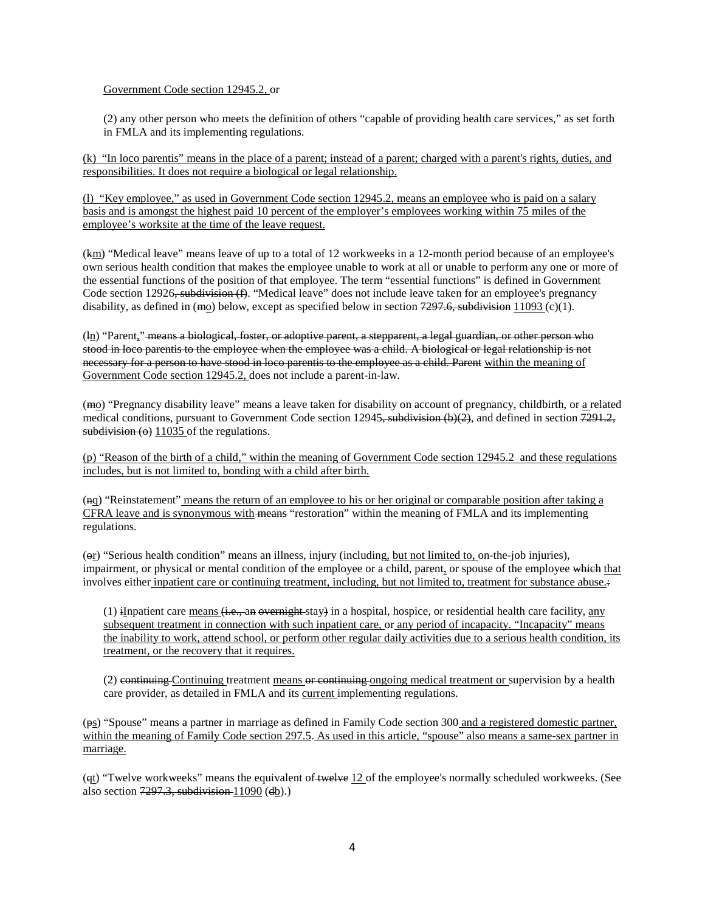### Government Code section 12945.2, or

(2) any other person who meets the definition of others "capable of providing health care services," as set forth in FMLA and its implementing regulations.

(k) "In loco parentis" means in the place of a parent; instead of a parent; charged with a parent's rights, duties, and responsibilities. It does not require a biological or legal relationship.

(l) "Key employee," as used in Government Code section 12945.2, means an employee who is paid on a salary basis and is amongst the highest paid 10 percent of the employer's employees working within 75 miles of the employee's worksite at the time of the leave request.

(km) "Medical leave" means leave of up to a total of 12 workweeks in a 12-month period because of an employee's own serious health condition that makes the employee unable to work at all or unable to perform any one or more of the essential functions of the position of that employee. The term "essential functions" is defined in Government Code section 12926<del>, subdivision (f)</del>. "Medical leave" does not include leave taken for an employee's pregnancy disability, as defined in  $(mo)$  below, except as specified below in section 7297.6, subdivision 11093 (c)(1).

(ln) "Parent," means a biological, foster, or adoptive parent, a stepparent, a legal guardian, or other person who stood in loco parentis to the employee when the employee was a child. A biological or legal relationship is not necessary for a person to have stood in loco parentis to the employee as a child. Parent within the meaning of Government Code section 12945.2, does not include a parent-in-law.

(mo) "Pregnancy disability leave" means a leave taken for disability on account of pregnancy, childbirth, or a related medical conditions, pursuant to Government Code section 12945, subdivision (b)(2), and defined in section 7291.2, subdivision  $\left(\Theta\right)$  11035 of the regulations.

(p) "Reason of the birth of a child," within the meaning of Government Code section 12945.2 and these regulations includes, but is not limited to, bonding with a child after birth.

(nq) "Reinstatement" means the return of an employee to his or her original or comparable position after taking a CFRA leave and is synonymous with means "restoration" within the meaning of FMLA and its implementing regulations.

(or) "Serious health condition" means an illness, injury (including, but not limited to, on-the-job injuries), impairment, or physical or mental condition of the employee or a child, parent, or spouse of the employee which that involves either inpatient care or continuing treatment, including, but not limited to, treatment for substance abuse.

 $(1)$  iInpatient care means  $\{i.e.,\}$  an overnight stay) in a hospital, hospice, or residential health care facility, any subsequent treatment in connection with such inpatient care, or any period of incapacity. "Incapacity" means the inability to work, attend school, or perform other regular daily activities due to a serious health condition, its treatment, or the recovery that it requires.

(2) continuing Continuing treatment means or continuing ongoing medical treatment or supervision by a health care provider, as detailed in FMLA and its current implementing regulations.

(ps) "Spouse" means a partner in marriage as defined in Family Code section 300 and a registered domestic partner, within the meaning of Family Code section 297.5. As used in this article, "spouse" also means a same-sex partner in marriage.

( $q<sub>t</sub>$ ) "Twelve workweeks" means the equivalent of twelve 12 of the employee's normally scheduled workweeks. (See also section  $7297.3$ , subdivision 11090 (db).)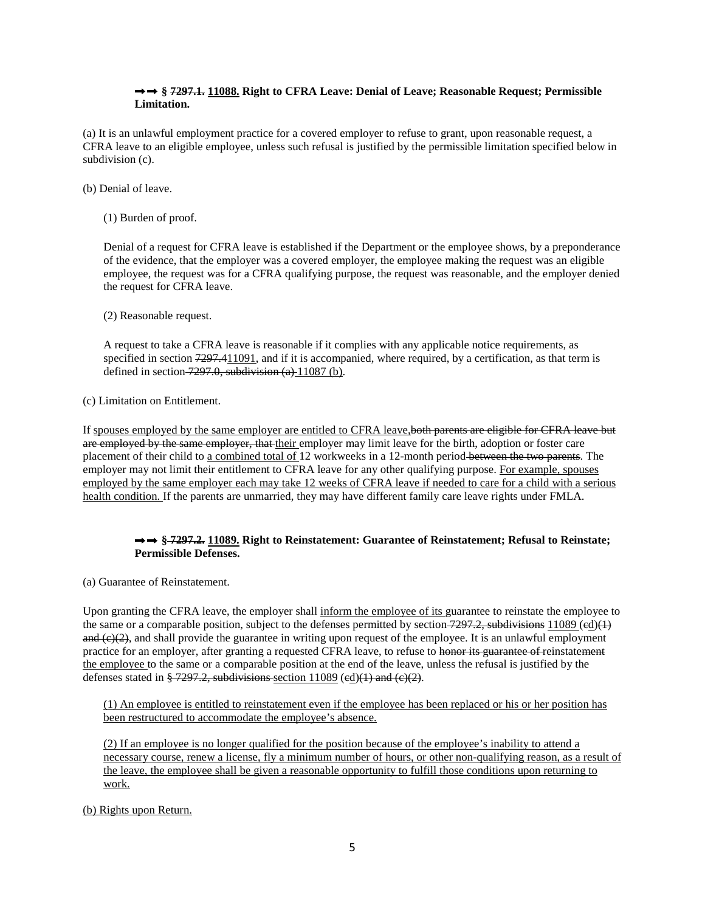# **§ 7297.1. 11088. Right to CFRA Leave: Denial of Leave; Reasonable Request; Permissible Limitation.**

(a) It is an unlawful employment practice for a covered employer to refuse to grant, upon reasonable request, a CFRA leave to an eligible employee, unless such refusal is justified by the permissible limitation specified below in subdivision (c).

(b) Denial of leave.

(1) Burden of proof.

Denial of a request for CFRA leave is established if the Department or the employee shows, by a preponderance of the evidence, that the employer was a covered employer, the employee making the request was an eligible employee, the request was for a CFRA qualifying purpose, the request was reasonable, and the employer denied the request for CFRA leave.

(2) Reasonable request.

A request to take a CFRA leave is reasonable if it complies with any applicable notice requirements, as specified in section  $7297.411091$ , and if it is accompanied, where required, by a certification, as that term is defined in section  $-7297.0$ , subdivision  $(a)$  11087 (b).

(c) Limitation on Entitlement.

If spouses employed by the same employer are entitled to CFRA leave,both parents are eligible for CFRA leave but are employed by the same employer, that their employer may limit leave for the birth, adoption or foster care placement of their child to a combined total of 12 workweeks in a 12-month period between the two parents. The employer may not limit their entitlement to CFRA leave for any other qualifying purpose. For example, spouses employed by the same employer each may take 12 weeks of CFRA leave if needed to care for a child with a serious health condition. If the parents are unmarried, they may have different family care leave rights under FMLA.

### **§ 7297.2. 11089. Right to Reinstatement: Guarantee of Reinstatement; Refusal to Reinstate; Permissible Defenses.**

(a) Guarantee of Reinstatement.

Upon granting the CFRA leave, the employer shall inform the employee of its guarantee to reinstate the employee to the same or a comparable position, subject to the defenses permitted by section  $7297.2$ , subdivisions  $11089$  (ed)(1)  $\frac{\text{and } (c)(2)}{\text{and } (c)(2)}$ , and shall provide the guarantee in writing upon request of the employee. It is an unlawful employment practice for an employer, after granting a requested CFRA leave, to refuse to honor its guarantee of reinstatement the employee to the same or a comparable position at the end of the leave, unless the refusal is justified by the defenses stated in  $\frac{297.2}{8}$ , subdivisions section 11089 (ed)(1) and (e)(2).

(1) An employee is entitled to reinstatement even if the employee has been replaced or his or her position has been restructured to accommodate the employee's absence.

(2) If an employee is no longer qualified for the position because of the employee's inability to attend a necessary course, renew a license, fly a minimum number of hours, or other non-qualifying reason, as a result of the leave, the employee shall be given a reasonable opportunity to fulfill those conditions upon returning to work.

(b) Rights upon Return.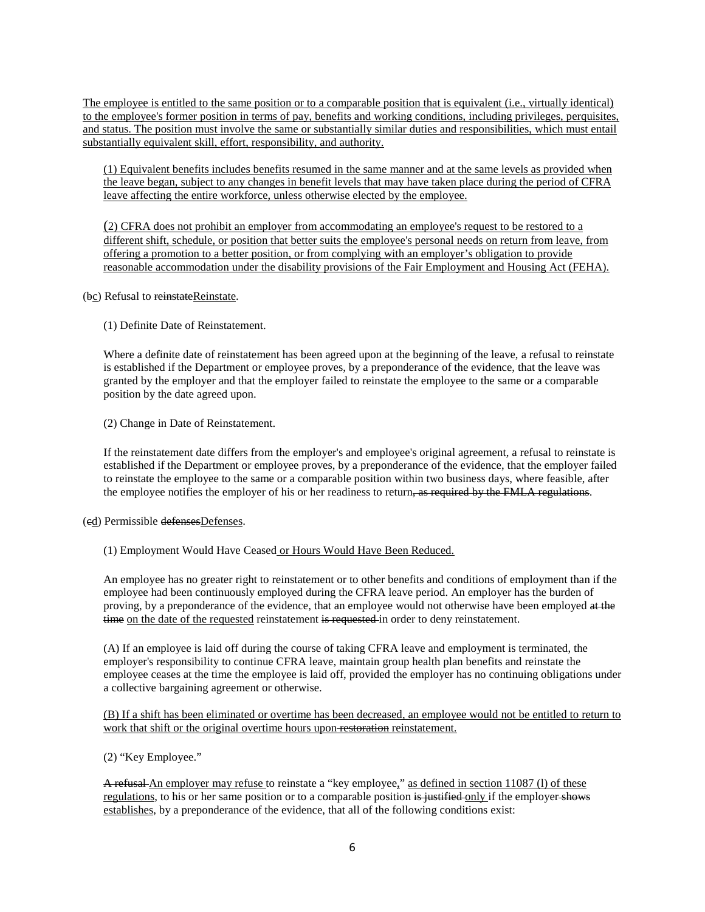The employee is entitled to the same position or to a comparable position that is equivalent (i.e., virtually identical) to the employee's former position in terms of pay, benefits and working conditions, including privileges, perquisites, and status. The position must involve the same or substantially similar duties and responsibilities, which must entail substantially equivalent skill, effort, responsibility, and authority.

(1) Equivalent benefits includes benefits resumed in the same manner and at the same levels as provided when the leave began, subject to any changes in benefit levels that may have taken place during the period of CFRA leave affecting the entire workforce, unless otherwise elected by the employee.

(2) CFRA does not prohibit an employer from accommodating an employee's request to be restored to a different shift, schedule, or position that better suits the employee's personal needs on return from leave, from offering a promotion to a better position, or from complying with an employer's obligation to provide reasonable accommodation under the disability provisions of the Fair Employment and Housing Act (FEHA).

(bc) Refusal to reinstate Reinstate.

(1) Definite Date of Reinstatement.

Where a definite date of reinstatement has been agreed upon at the beginning of the leave, a refusal to reinstate is established if the Department or employee proves, by a preponderance of the evidence, that the leave was granted by the employer and that the employer failed to reinstate the employee to the same or a comparable position by the date agreed upon.

(2) Change in Date of Reinstatement.

If the reinstatement date differs from the employer's and employee's original agreement, a refusal to reinstate is established if the Department or employee proves, by a preponderance of the evidence, that the employer failed to reinstate the employee to the same or a comparable position within two business days, where feasible, after the employee notifies the employer of his or her readiness to return<del>, as required by the FMLA regulations</del>.

(cd) Permissible defensesDefenses.

(1) Employment Would Have Ceased or Hours Would Have Been Reduced.

An employee has no greater right to reinstatement or to other benefits and conditions of employment than if the employee had been continuously employed during the CFRA leave period. An employer has the burden of proving, by a preponderance of the evidence, that an employee would not otherwise have been employed at the time on the date of the requested reinstatement is requested in order to deny reinstatement.

(A) If an employee is laid off during the course of taking CFRA leave and employment is terminated, the employer's responsibility to continue CFRA leave, maintain group health plan benefits and reinstate the employee ceases at the time the employee is laid off, provided the employer has no continuing obligations under a collective bargaining agreement or otherwise.

(B) If a shift has been eliminated or overtime has been decreased, an employee would not be entitled to return to work that shift or the original overtime hours upon-restoration reinstatement.

(2) "Key Employee."

A refusal An employer may refuse to reinstate a "key employee," as defined in section 11087 (1) of these regulations, to his or her same position or to a comparable position is justified only if the employer shows establishes, by a preponderance of the evidence, that all of the following conditions exist: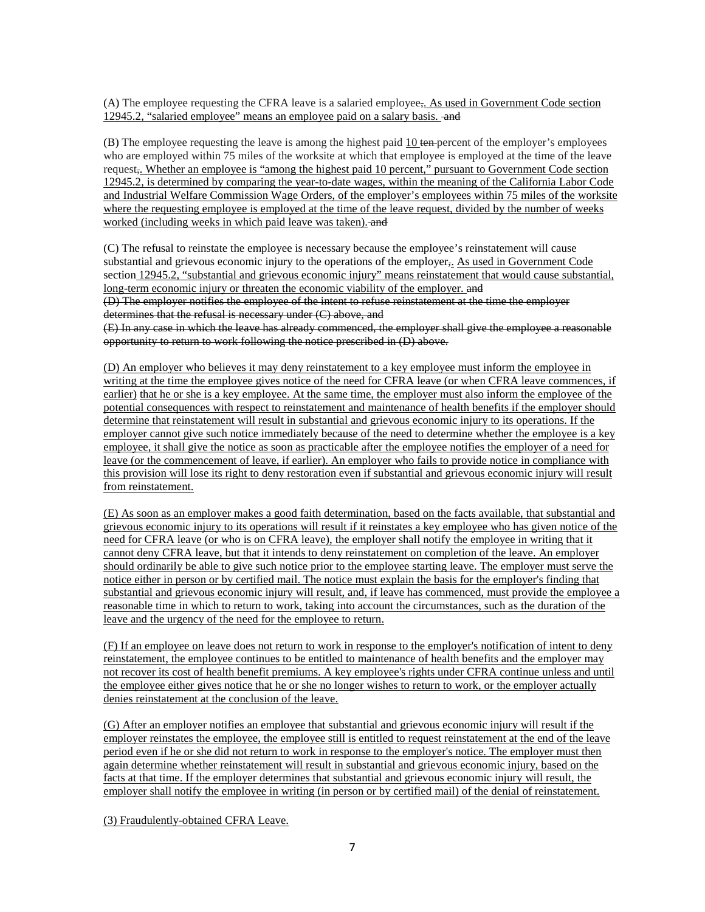(A) The employee requesting the CFRA leave is a salaried employee,. As used in Government Code section 12945.2, "salaried employee" means an employee paid on a salary basis. and

(B) The employee requesting the leave is among the highest paid 10 ten-percent of the employer's employees who are employed within 75 miles of the worksite at which that employee is employed at the time of the leave request,. Whether an employee is "among the highest paid 10 percent," pursuant to Government Code section 12945.2, is determined by comparing the year-to-date wages, within the meaning of the California Labor Code and Industrial Welfare Commission Wage Orders, of the employer's employees within 75 miles of the worksite where the requesting employee is employed at the time of the leave request, divided by the number of weeks worked (including weeks in which paid leave was taken). and

(C) The refusal to reinstate the employee is necessary because the employee's reinstatement will cause substantial and grievous economic injury to the operations of the employer,. As used in Government Code section 12945.2, "substantial and grievous economic injury" means reinstatement that would cause substantial, long-term economic injury or threaten the economic viability of the employer. and

(D) The employer notifies the employee of the intent to refuse reinstatement at the time the employer determines that the refusal is necessary under (C) above, and

(E) In any case in which the leave has already commenced, the employer shall give the employee a reasonable opportunity to return to work following the notice prescribed in (D) above.

(D) An employer who believes it may deny reinstatement to a key employee must inform the employee in writing at the time the employee gives notice of the need for CFRA leave (or when CFRA leave commences, if earlier) that he or she is a key employee. At the same time, the employer must also inform the employee of the potential consequences with respect to reinstatement and maintenance of health benefits if the employer should determine that reinstatement will result in substantial and grievous economic injury to its operations. If the employer cannot give such notice immediately because of the need to determine whether the employee is a key employee, it shall give the notice as soon as practicable after the employee notifies the employer of a need for leave (or the commencement of leave, if earlier). An employer who fails to provide notice in compliance with this provision will lose its right to deny restoration even if substantial and grievous economic injury will result from reinstatement.

(E) As soon as an employer makes a good faith determination, based on the facts available, that substantial and grievous economic injury to its operations will result if it reinstates a key employee who has given notice of the need for CFRA leave (or who is on CFRA leave), the employer shall notify the employee in writing that it cannot deny CFRA leave, but that it intends to deny reinstatement on completion of the leave. An employer should ordinarily be able to give such notice prior to the employee starting leave. The employer must serve the notice either in person or by certified mail. The notice must explain the basis for the employer's finding that substantial and grievous economic injury will result, and, if leave has commenced, must provide the employee a reasonable time in which to return to work, taking into account the circumstances, such as the duration of the leave and the urgency of the need for the employee to return.

(F) If an employee on leave does not return to work in response to the employer's notification of intent to deny reinstatement, the employee continues to be entitled to maintenance of health benefits and the employer may not recover its cost of health benefit premiums. A key employee's rights under CFRA continue unless and until the employee either gives notice that he or she no longer wishes to return to work, or the employer actually denies reinstatement at the conclusion of the leave.

(G) After an employer notifies an employee that substantial and grievous economic injury will result if the employer reinstates the employee, the employee still is entitled to request reinstatement at the end of the leave period even if he or she did not return to work in response to the employer's notice. The employer must then again determine whether reinstatement will result in substantial and grievous economic injury, based on the facts at that time. If the employer determines that substantial and grievous economic injury will result, the employer shall notify the employee in writing (in person or by certified mail) of the denial of reinstatement.

(3) Fraudulently-obtained CFRA Leave.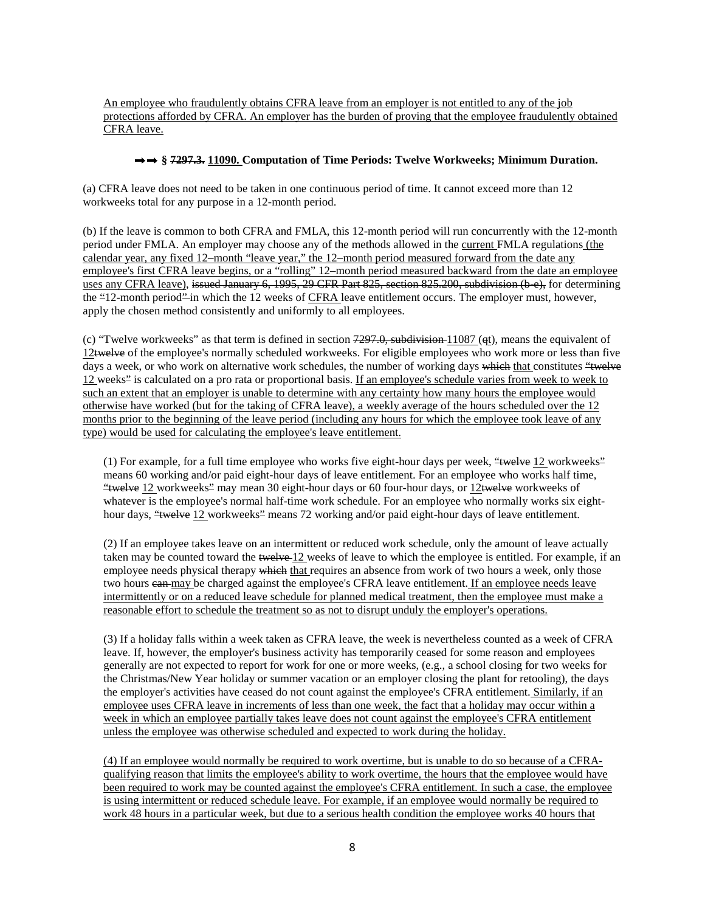# An employee who fraudulently obtains CFRA leave from an employer is not entitled to any of the job protections afforded by CFRA. An employer has the burden of proving that the employee fraudulently obtained CFRA leave.

# **§ 7297.3. 11090. Computation of Time Periods: Twelve Workweeks; Minimum Duration.**

(a) CFRA leave does not need to be taken in one continuous period of time. It cannot exceed more than 12 workweeks total for any purpose in a 12-month period.

(b) If the leave is common to both CFRA and FMLA, this 12-month period will run concurrently with the 12-month period under FMLA. An employer may choose any of the methods allowed in the current FMLA regulations (the calendar year, any fixed 12–month "leave year," the 12–month period measured forward from the date any employee's first CFRA leave begins, or a "rolling" 12–month period measured backward from the date an employee uses any CFRA leave), issued January 6, 1995, 29 CFR Part 825, section 825.200, subdivision (b e), for determining the "12-month period" in which the 12 weeks of CFRA leave entitlement occurs. The employer must, however, apply the chosen method consistently and uniformly to all employees.

(c) "Twelve workweeks" as that term is defined in section  $7297.0$ , subdivision 11087 (qt), means the equivalent of 12twelve of the employee's normally scheduled workweeks. For eligible employees who work more or less than five days a week, or who work on alternative work schedules, the number of working days which that constitutes "twelve 12 weeks" is calculated on a pro rata or proportional basis. If an employee's schedule varies from week to week to such an extent that an employer is unable to determine with any certainty how many hours the employee would otherwise have worked (but for the taking of CFRA leave), a weekly average of the hours scheduled over the 12 months prior to the beginning of the leave period (including any hours for which the employee took leave of any type) would be used for calculating the employee's leave entitlement.

(1) For example, for a full time employee who works five eight-hour days per week, "twelve 12 workweeks" means 60 working and/or paid eight-hour days of leave entitlement. For an employee who works half time, "twelve 12 workweeks" may mean 30 eight-hour days or 60 four-hour days, or 12twelve workweeks of whatever is the employee's normal half-time work schedule. For an employee who normally works six eighthour days, "twelve 12 workweeks" means 72 working and/or paid eight-hour days of leave entitlement.

(2) If an employee takes leave on an intermittent or reduced work schedule, only the amount of leave actually taken may be counted toward the twelve 12 weeks of leave to which the employee is entitled. For example, if an employee needs physical therapy which that requires an absence from work of two hours a week, only those two hours ean may be charged against the employee's CFRA leave entitlement. If an employee needs leave intermittently or on a reduced leave schedule for planned medical treatment, then the employee must make a reasonable effort to schedule the treatment so as not to disrupt unduly the employer's operations.

(3) If a holiday falls within a week taken as CFRA leave, the week is nevertheless counted as a week of CFRA leave. If, however, the employer's business activity has temporarily ceased for some reason and employees generally are not expected to report for work for one or more weeks, (e.g., a school closing for two weeks for the Christmas/New Year holiday or summer vacation or an employer closing the plant for retooling), the days the employer's activities have ceased do not count against the employee's CFRA entitlement. Similarly, if an employee uses CFRA leave in increments of less than one week, the fact that a holiday may occur within a week in which an employee partially takes leave does not count against the employee's CFRA entitlement unless the employee was otherwise scheduled and expected to work during the holiday.

(4) If an employee would normally be required to work overtime, but is unable to do so because of a CFRAqualifying reason that limits the employee's ability to work overtime, the hours that the employee would have been required to work may be counted against the employee's CFRA entitlement. In such a case, the employee is using intermittent or reduced schedule leave. For example, if an employee would normally be required to work 48 hours in a particular week, but due to a serious health condition the employee works 40 hours that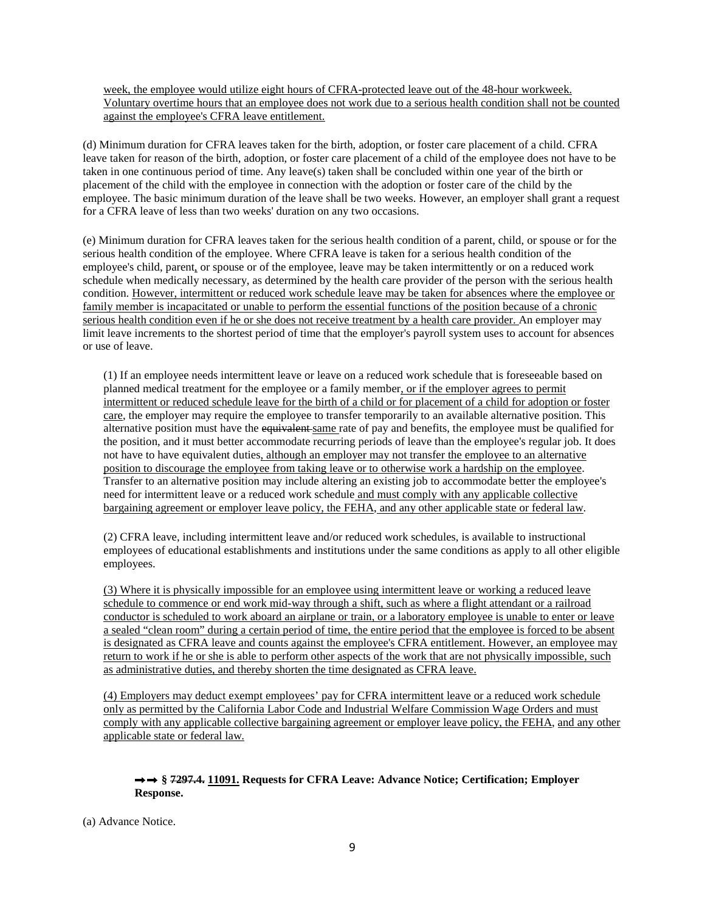week, the employee would utilize eight hours of CFRA-protected leave out of the 48-hour workweek. Voluntary overtime hours that an employee does not work due to a serious health condition shall not be counted against the employee's CFRA leave entitlement.

(d) Minimum duration for CFRA leaves taken for the birth, adoption, or foster care placement of a child. CFRA leave taken for reason of the birth, adoption, or foster care placement of a child of the employee does not have to be taken in one continuous period of time. Any leave(s) taken shall be concluded within one year of the birth or placement of the child with the employee in connection with the adoption or foster care of the child by the employee. The basic minimum duration of the leave shall be two weeks. However, an employer shall grant a request for a CFRA leave of less than two weeks' duration on any two occasions.

(e) Minimum duration for CFRA leaves taken for the serious health condition of a parent, child, or spouse or for the serious health condition of the employee. Where CFRA leave is taken for a serious health condition of the employee's child, parent, or spouse or of the employee, leave may be taken intermittently or on a reduced work schedule when medically necessary, as determined by the health care provider of the person with the serious health condition. However, intermittent or reduced work schedule leave may be taken for absences where the employee or family member is incapacitated or unable to perform the essential functions of the position because of a chronic serious health condition even if he or she does not receive treatment by a health care provider. An employer may limit leave increments to the shortest period of time that the employer's payroll system uses to account for absences or use of leave.

(1) If an employee needs intermittent leave or leave on a reduced work schedule that is foreseeable based on planned medical treatment for the employee or a family member, or if the employer agrees to permit intermittent or reduced schedule leave for the birth of a child or for placement of a child for adoption or foster care, the employer may require the employee to transfer temporarily to an available alternative position. This alternative position must have the equivalent same rate of pay and benefits, the employee must be qualified for the position, and it must better accommodate recurring periods of leave than the employee's regular job. It does not have to have equivalent duties, although an employer may not transfer the employee to an alternative position to discourage the employee from taking leave or to otherwise work a hardship on the employee. Transfer to an alternative position may include altering an existing job to accommodate better the employee's need for intermittent leave or a reduced work schedule and must comply with any applicable collective bargaining agreement or employer leave policy, the FEHA, and any other applicable state or federal law.

(2) CFRA leave, including intermittent leave and/or reduced work schedules, is available to instructional employees of educational establishments and institutions under the same conditions as apply to all other eligible employees.

(3) Where it is physically impossible for an employee using intermittent leave or working a reduced leave schedule to commence or end work mid-way through a shift, such as where a flight attendant or a railroad conductor is scheduled to work aboard an airplane or train, or a laboratory employee is unable to enter or leave a sealed "clean room" during a certain period of time, the entire period that the employee is forced to be absent is designated as CFRA leave and counts against the employee's CFRA entitlement. However, an employee may return to work if he or she is able to perform other aspects of the work that are not physically impossible, such as administrative duties, and thereby shorten the time designated as CFRA leave.

(4) Employers may deduct exempt employees' pay for CFRA intermittent leave or a reduced work schedule only as permitted by the California Labor Code and Industrial Welfare Commission Wage Orders and must comply with any applicable collective bargaining agreement or employer leave policy, the FEHA, and any other applicable state or federal law.

# **§ 7297.4. 11091. Requests for CFRA Leave: Advance Notice; Certification; Employer Response.**

(a) Advance Notice.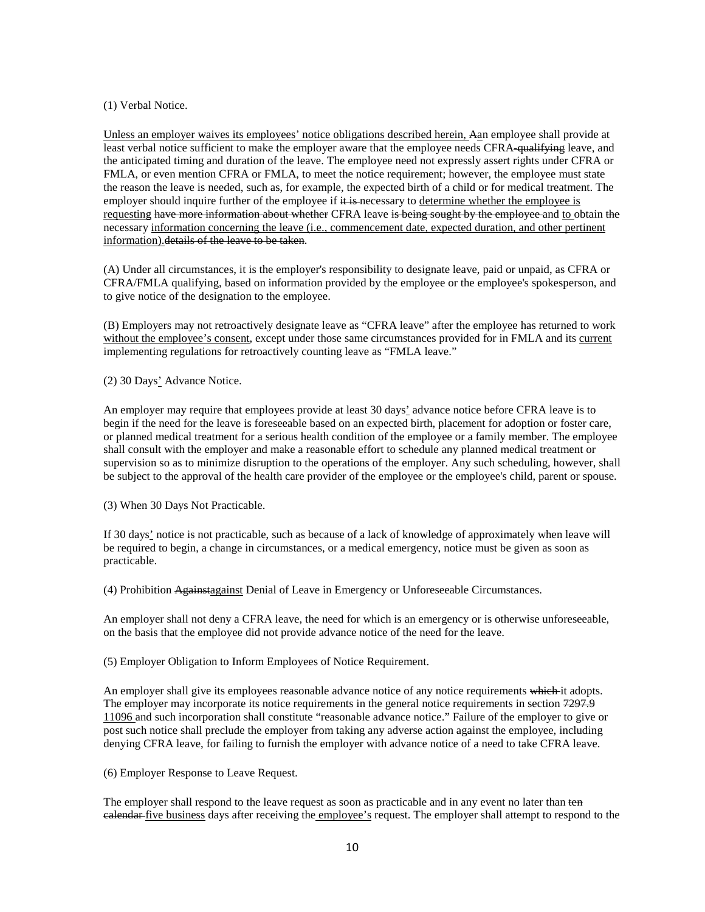### (1) Verbal Notice.

Unless an employer waives its employees' notice obligations described herein, Aan employee shall provide at least verbal notice sufficient to make the employer aware that the employee needs CFRA-qualifying leave, and the anticipated timing and duration of the leave. The employee need not expressly assert rights under CFRA or FMLA, or even mention CFRA or FMLA, to meet the notice requirement; however, the employee must state the reason the leave is needed, such as, for example, the expected birth of a child or for medical treatment. The employer should inquire further of the employee if it is necessary to determine whether the employee is requesting have more information about whether CFRA leave is being sought by the employee and to obtain the necessary information concerning the leave (i.e., commencement date, expected duration, and other pertinent information). details of the leave to be taken.

(A) Under all circumstances, it is the employer's responsibility to designate leave, paid or unpaid, as CFRA or CFRA/FMLA qualifying, based on information provided by the employee or the employee's spokesperson, and to give notice of the designation to the employee.

(B) Employers may not retroactively designate leave as "CFRA leave" after the employee has returned to work without the employee's consent, except under those same circumstances provided for in FMLA and its current implementing regulations for retroactively counting leave as "FMLA leave."

# (2) 30 Days' Advance Notice.

An employer may require that employees provide at least 30 days' advance notice before CFRA leave is to begin if the need for the leave is foreseeable based on an expected birth, placement for adoption or foster care, or planned medical treatment for a serious health condition of the employee or a family member. The employee shall consult with the employer and make a reasonable effort to schedule any planned medical treatment or supervision so as to minimize disruption to the operations of the employer. Any such scheduling, however, shall be subject to the approval of the health care provider of the employee or the employee's child, parent or spouse.

(3) When 30 Days Not Practicable.

If 30 days' notice is not practicable, such as because of a lack of knowledge of approximately when leave will be required to begin, a change in circumstances, or a medical emergency, notice must be given as soon as practicable.

(4) Prohibition Againstagainst Denial of Leave in Emergency or Unforeseeable Circumstances.

An employer shall not deny a CFRA leave, the need for which is an emergency or is otherwise unforeseeable, on the basis that the employee did not provide advance notice of the need for the leave.

(5) Employer Obligation to Inform Employees of Notice Requirement.

An employer shall give its employees reasonable advance notice of any notice requirements which it adopts. The employer may incorporate its notice requirements in the general notice requirements in section 7297.9 11096 and such incorporation shall constitute "reasonable advance notice." Failure of the employer to give or post such notice shall preclude the employer from taking any adverse action against the employee, including denying CFRA leave, for failing to furnish the employer with advance notice of a need to take CFRA leave.

(6) Employer Response to Leave Request.

The employer shall respond to the leave request as soon as practicable and in any event no later than ten calendar five business days after receiving the employee's request. The employer shall attempt to respond to the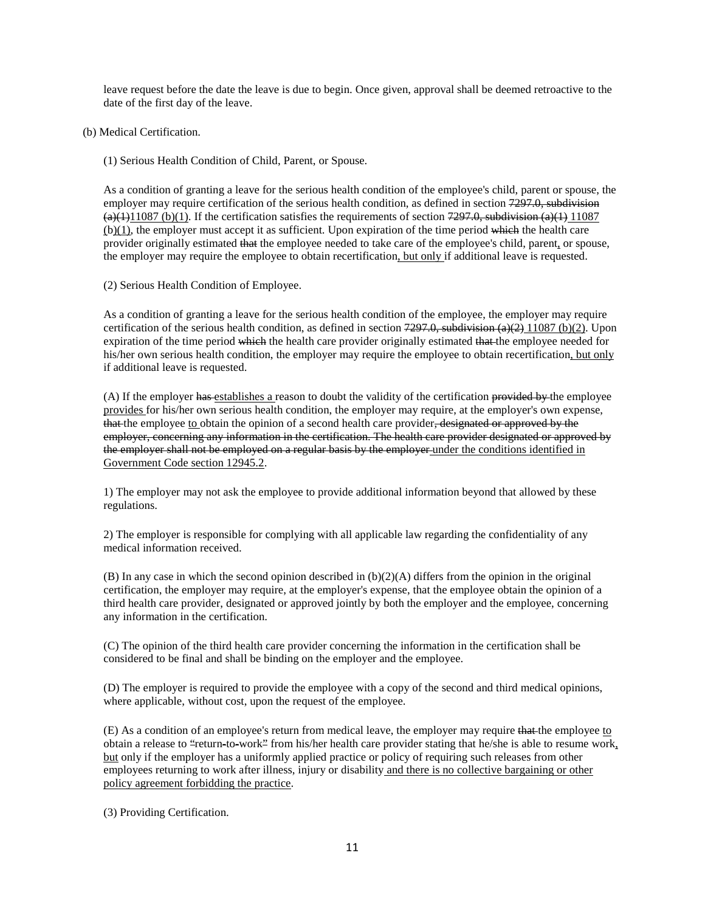leave request before the date the leave is due to begin. Once given, approval shall be deemed retroactive to the date of the first day of the leave.

- (b) Medical Certification.
	- (1) Serious Health Condition of Child, Parent, or Spouse.

As a condition of granting a leave for the serious health condition of the employee's child, parent or spouse, the employer may require certification of the serious health condition, as defined in section 7297.0, subdivision  $(a)(1)11087$  (b)(1). If the certification satisfies the requirements of section 7297.0, subdivision (a)(1) 11087  $(b)(1)$ , the employer must accept it as sufficient. Upon expiration of the time period which the health care provider originally estimated that the employee needed to take care of the employee's child, parent, or spouse, the employer may require the employee to obtain recertification, but only if additional leave is requested.

(2) Serious Health Condition of Employee.

As a condition of granting a leave for the serious health condition of the employee, the employer may require certification of the serious health condition, as defined in section  $7297.0$ , subdivision (a)(2) 11087 (b)(2). Upon expiration of the time period which the health care provider originally estimated that the employee needed for his/her own serious health condition, the employer may require the employee to obtain recertification, but only if additional leave is requested.

(A) If the employer has establishes a reason to doubt the validity of the certification provided by the employee provides for his/her own serious health condition, the employer may require, at the employer's own expense, that the employee to obtain the opinion of a second health care provider, designated or approved by the employer, concerning any information in the certification. The health care provider designated or approved by the employer shall not be employed on a regular basis by the employer under the conditions identified in Government Code section 12945.2.

1) The employer may not ask the employee to provide additional information beyond that allowed by these regulations.

2) The employer is responsible for complying with all applicable law regarding the confidentiality of any medical information received.

(B) In any case in which the second opinion described in  $(b)(2)(A)$  differs from the opinion in the original certification, the employer may require, at the employer's expense, that the employee obtain the opinion of a third health care provider, designated or approved jointly by both the employer and the employee, concerning any information in the certification.

(C) The opinion of the third health care provider concerning the information in the certification shall be considered to be final and shall be binding on the employer and the employee.

(D) The employer is required to provide the employee with a copy of the second and third medical opinions, where applicable, without cost, upon the request of the employee.

(E) As a condition of an employee's return from medical leave, the employer may require that the employee to obtain a release to "return-to-work" from his/her health care provider stating that he/she is able to resume work, but only if the employer has a uniformly applied practice or policy of requiring such releases from other employees returning to work after illness, injury or disability and there is no collective bargaining or other policy agreement forbidding the practice.

(3) Providing Certification.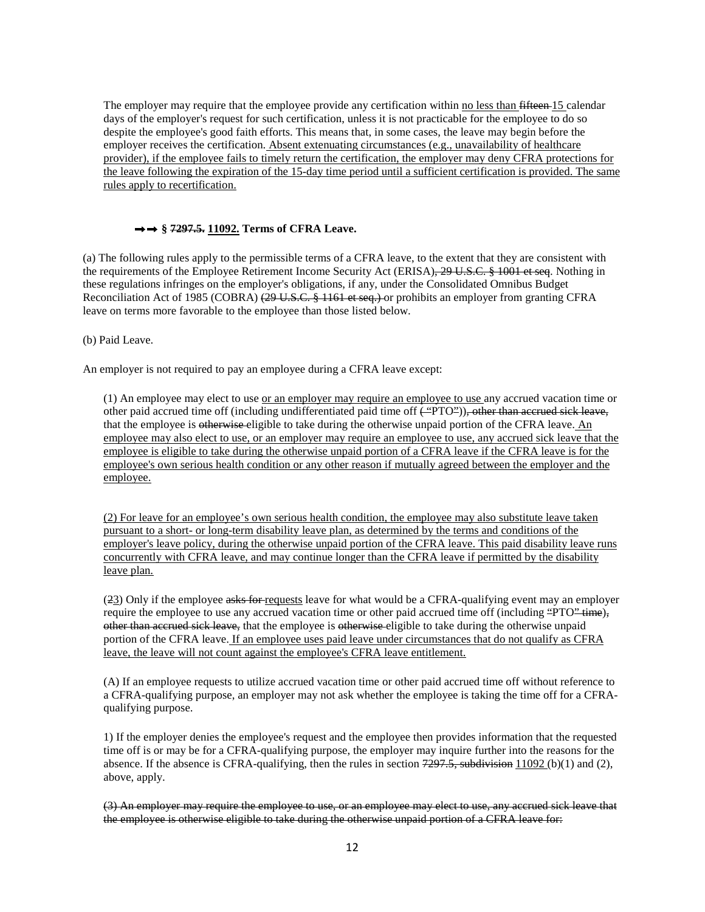The employer may require that the employee provide any certification within no less than fifteen 15 calendar days of the employer's request for such certification, unless it is not practicable for the employee to do so despite the employee's good faith efforts. This means that, in some cases, the leave may begin before the employer receives the certification. Absent extenuating circumstances (e.g., unavailability of healthcare provider), if the employee fails to timely return the certification, the employer may deny CFRA protections for the leave following the expiration of the 15-day time period until a sufficient certification is provided. The same rules apply to recertification.

### **§ 7297.5. 11092. Terms of CFRA Leave.**

(a) The following rules apply to the permissible terms of a CFRA leave, to the extent that they are consistent with the requirements of the Employee Retirement Income Security Act (ERISA), 29 U.S.C. § 1001 et seq. Nothing in these regulations infringes on the employer's obligations, if any, under the Consolidated Omnibus Budget Reconciliation Act of 1985 (COBRA) (29 U.S.C. § 1161 et seq.) or prohibits an employer from granting CFRA leave on terms more favorable to the employee than those listed below.

(b) Paid Leave.

An employer is not required to pay an employee during a CFRA leave except:

(1) An employee may elect to use or an employer may require an employee to use any accrued vacation time or other paid accrued time off (including undifferentiated paid time off ("PTO")), other than accrued sick leave, that the employee is otherwise eligible to take during the otherwise unpaid portion of the CFRA leave. An employee may also elect to use, or an employer may require an employee to use, any accrued sick leave that the employee is eligible to take during the otherwise unpaid portion of a CFRA leave if the CFRA leave is for the employee's own serious health condition or any other reason if mutually agreed between the employer and the employee.

(2) For leave for an employee's own serious health condition, the employee may also substitute leave taken pursuant to a short- or long-term disability leave plan, as determined by the terms and conditions of the employer's leave policy, during the otherwise unpaid portion of the CFRA leave. This paid disability leave runs concurrently with CFRA leave, and may continue longer than the CFRA leave if permitted by the disability leave plan.

(23) Only if the employee asks for requests leave for what would be a CFRA-qualifying event may an employer require the employee to use any accrued vacation time or other paid accrued time off (including "PTO" time), other than accrued sick leave, that the employee is otherwise eligible to take during the otherwise unpaid portion of the CFRA leave. If an employee uses paid leave under circumstances that do not qualify as CFRA leave, the leave will not count against the employee's CFRA leave entitlement.

(A) If an employee requests to utilize accrued vacation time or other paid accrued time off without reference to a CFRA-qualifying purpose, an employer may not ask whether the employee is taking the time off for a CFRAqualifying purpose.

1) If the employer denies the employee's request and the employee then provides information that the requested time off is or may be for a CFRA-qualifying purpose, the employer may inquire further into the reasons for the absence. If the absence is CFRA-qualifying, then the rules in section  $7297.5$ , subdivision 11092 (b)(1) and (2), above, apply.

(3) An employer may require the employee to use, or an employee may elect to use, any accrued sick leave that the employee is otherwise eligible to take during the otherwise unpaid portion of a CFRA leave for: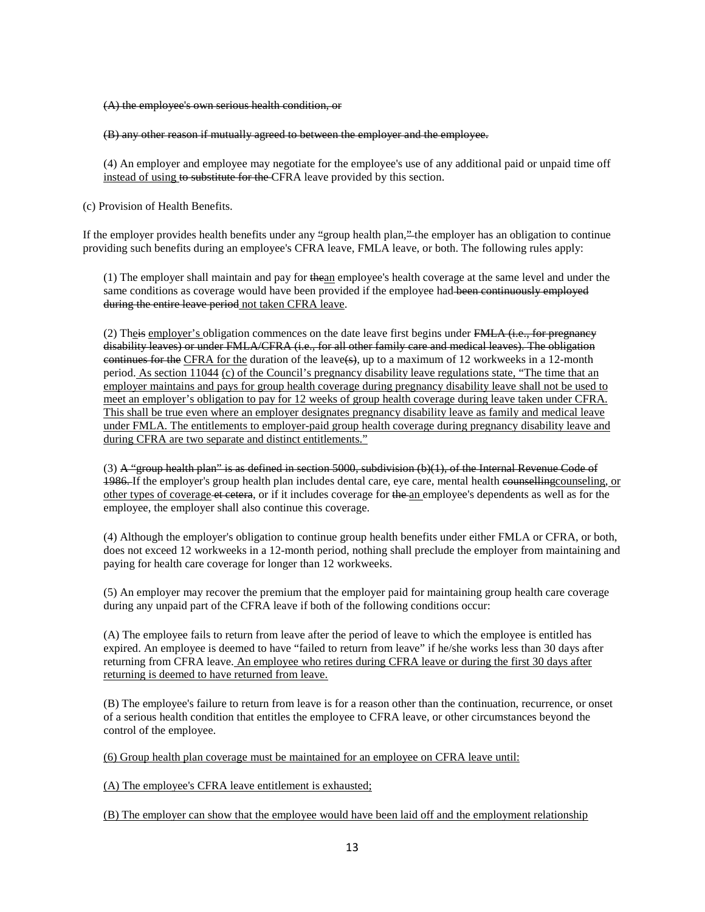(A) the employee's own serious health condition, or

(B) any other reason if mutually agreed to between the employer and the employee.

(4) An employer and employee may negotiate for the employee's use of any additional paid or unpaid time off instead of using to substitute for the CFRA leave provided by this section.

(c) Provision of Health Benefits.

If the employer provides health benefits under any "group health plan," the employer has an obligation to continue providing such benefits during an employee's CFRA leave, FMLA leave, or both. The following rules apply:

(1) The employer shall maintain and pay for thean employee's health coverage at the same level and under the same conditions as coverage would have been provided if the employee had been continuously employed during the entire leave period not taken CFRA leave.

(2) Theis employer's obligation commences on the date leave first begins under  $FMLA$  (i.e., for pregnancy disability leaves) or under FMLA/CFRA (i.e., for all other family care and medical leaves). The obligation continues for the CFRA for the duration of the leave(s), up to a maximum of 12 workweeks in a 12-month period. As section 11044 (c) of the Council's pregnancy disability leave regulations state, "The time that an employer maintains and pays for group health coverage during pregnancy disability leave shall not be used to meet an employer's obligation to pay for 12 weeks of group health coverage during leave taken under CFRA. This shall be true even where an employer designates pregnancy disability leave as family and medical leave under FMLA. The entitlements to employer-paid group health coverage during pregnancy disability leave and during CFRA are two separate and distinct entitlements."

(3) A "group health plan" is as defined in section 5000, subdivision (b)(1), of the Internal Revenue Code of 1986. If the employer's group health plan includes dental care, eye care, mental health eounselling counseling, or other types of coverage et cetera, or if it includes coverage for the an employee's dependents as well as for the employee, the employer shall also continue this coverage.

(4) Although the employer's obligation to continue group health benefits under either FMLA or CFRA, or both, does not exceed 12 workweeks in a 12-month period, nothing shall preclude the employer from maintaining and paying for health care coverage for longer than 12 workweeks.

(5) An employer may recover the premium that the employer paid for maintaining group health care coverage during any unpaid part of the CFRA leave if both of the following conditions occur:

(A) The employee fails to return from leave after the period of leave to which the employee is entitled has expired. An employee is deemed to have "failed to return from leave" if he/she works less than 30 days after returning from CFRA leave. An employee who retires during CFRA leave or during the first 30 days after returning is deemed to have returned from leave.

(B) The employee's failure to return from leave is for a reason other than the continuation, recurrence, or onset of a serious health condition that entitles the employee to CFRA leave, or other circumstances beyond the control of the employee.

(6) Group health plan coverage must be maintained for an employee on CFRA leave until:

(A) The employee's CFRA leave entitlement is exhausted;

(B) The employer can show that the employee would have been laid off and the employment relationship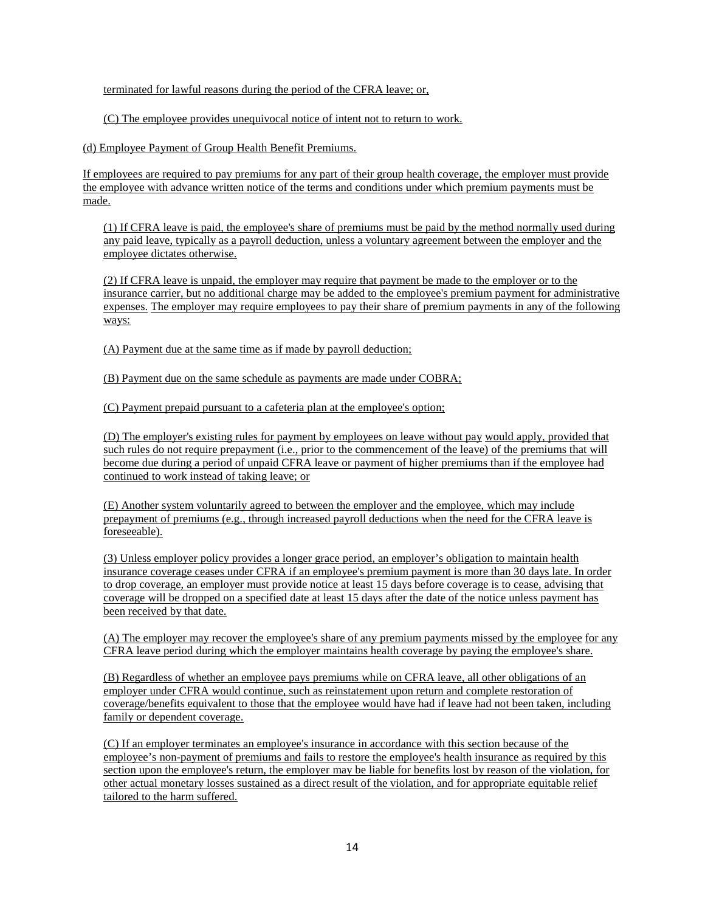terminated for lawful reasons during the period of the CFRA leave; or,

(C) The employee provides unequivocal notice of intent not to return to work.

(d) Employee Payment of Group Health Benefit Premiums.

If employees are required to pay premiums for any part of their group health coverage, the employer must provide the employee with advance written notice of the terms and conditions under which premium payments must be made.

(1) If CFRA leave is paid, the employee's share of premiums must be paid by the method normally used during any paid leave, typically as a payroll deduction, unless a voluntary agreement between the employer and the employee dictates otherwise.

(2) If CFRA leave is unpaid, the employer may require that payment be made to the employer or to the insurance carrier, but no additional charge may be added to the employee's premium payment for administrative expenses. The employer may require employees to pay their share of premium payments in any of the following ways:

(A) Payment due at the same time as if made by payroll deduction;

(B) Payment due on the same schedule as payments are made under COBRA;

(C) Payment prepaid pursuant to a cafeteria plan at the employee's option;

(D) The employer's existing rules for payment by employees on leave without pay would apply, provided that such rules do not require prepayment (i.e., prior to the commencement of the leave) of the premiums that will become due during a period of unpaid CFRA leave or payment of higher premiums than if the employee had continued to work instead of taking leave; or

(E) Another system voluntarily agreed to between the employer and the employee, which may include prepayment of premiums (e.g., through increased payroll deductions when the need for the CFRA leave is foreseeable).

(3) Unless employer policy provides a longer grace period, an employer's obligation to maintain health insurance coverage ceases under CFRA if an employee's premium payment is more than 30 days late. In order to drop coverage, an employer must provide notice at least 15 days before coverage is to cease, advising that coverage will be dropped on a specified date at least 15 days after the date of the notice unless payment has been received by that date.

(A) The employer may recover the employee's share of any premium payments missed by the employee for any CFRA leave period during which the employer maintains health coverage by paying the employee's share.

(B) Regardless of whether an employee pays premiums while on CFRA leave, all other obligations of an employer under CFRA would continue, such as reinstatement upon return and complete restoration of coverage/benefits equivalent to those that the employee would have had if leave had not been taken, including family or dependent coverage.

(C) If an employer terminates an employee's insurance in accordance with this section because of the employee's non-payment of premiums and fails to restore the employee's health insurance as required by this section upon the employee's return, the employer may be liable for benefits lost by reason of the violation, for other actual monetary losses sustained as a direct result of the violation, and for appropriate equitable relief tailored to the harm suffered.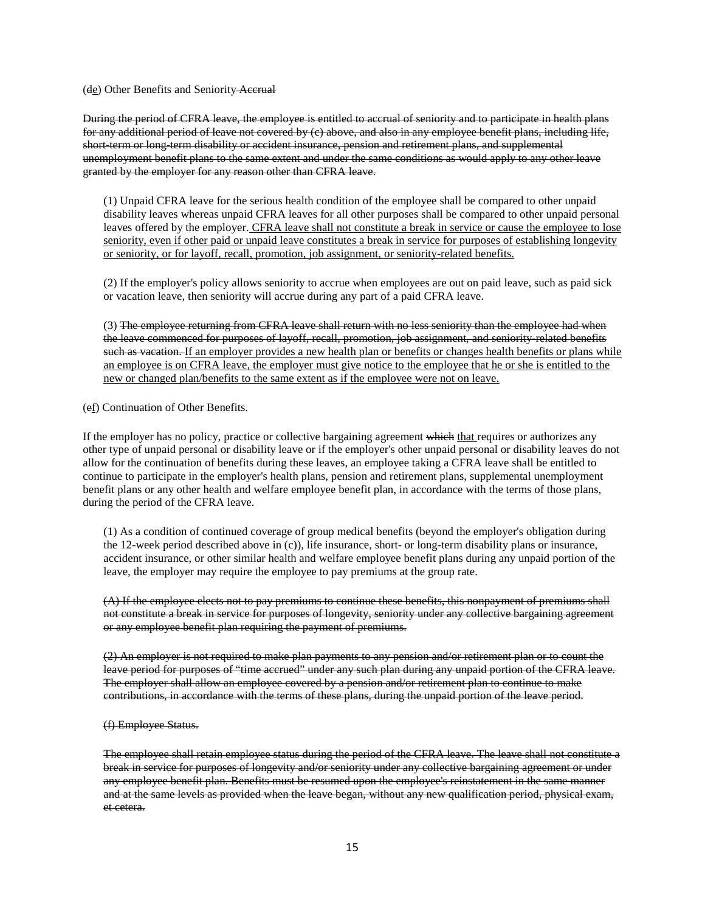#### (de) Other Benefits and Seniority-Accrual

During the period of CFRA leave, the employee is entitled to accrual of seniority and to participate in health plans for any additional period of leave not covered by (c) above, and also in any employee benefit plans, including life, short-term or long-term disability or accident insurance, pension and retirement plans, and supplemental unemployment benefit plans to the same extent and under the same conditions as would apply to any other leave granted by the employer for any reason other than CFRA leave.

(1) Unpaid CFRA leave for the serious health condition of the employee shall be compared to other unpaid disability leaves whereas unpaid CFRA leaves for all other purposes shall be compared to other unpaid personal leaves offered by the employer. CFRA leave shall not constitute a break in service or cause the employee to lose seniority, even if other paid or unpaid leave constitutes a break in service for purposes of establishing longevity or seniority, or for layoff, recall, promotion, job assignment, or seniority-related benefits.

(2) If the employer's policy allows seniority to accrue when employees are out on paid leave, such as paid sick or vacation leave, then seniority will accrue during any part of a paid CFRA leave.

(3) The employee returning from CFRA leave shall return with no less seniority than the employee had when the leave commenced for purposes of layoff, recall, promotion, job assignment, and seniority-related benefits such as vacation. If an employer provides a new health plan or benefits or changes health benefits or plans while an employee is on CFRA leave, the employer must give notice to the employee that he or she is entitled to the new or changed plan/benefits to the same extent as if the employee were not on leave.

(ef) Continuation of Other Benefits.

If the employer has no policy, practice or collective bargaining agreement which that requires or authorizes any other type of unpaid personal or disability leave or if the employer's other unpaid personal or disability leaves do not allow for the continuation of benefits during these leaves, an employee taking a CFRA leave shall be entitled to continue to participate in the employer's health plans, pension and retirement plans, supplemental unemployment benefit plans or any other health and welfare employee benefit plan, in accordance with the terms of those plans, during the period of the CFRA leave.

(1) As a condition of continued coverage of group medical benefits (beyond the employer's obligation during the 12-week period described above in (c)), life insurance, short- or long-term disability plans or insurance, accident insurance, or other similar health and welfare employee benefit plans during any unpaid portion of the leave, the employer may require the employee to pay premiums at the group rate.

(A) If the employee elects not to pay premiums to continue these benefits, this nonpayment of premiums shall not constitute a break in service for purposes of longevity, seniority under any collective bargaining agreement or any employee benefit plan requiring the payment of premiums.

(2) An employer is not required to make plan payments to any pension and/or retirement plan or to count the leave period for purposes of "time accrued" under any such plan during any unpaid portion of the CFRA leave. The employer shall allow an employee covered by a pension and/or retirement plan to continue to make contributions, in accordance with the terms of these plans, during the unpaid portion of the leave period.

#### (f) Employee Status.

The employee shall retain employee status during the period of the CFRA leave. The leave shall not constitute a break in service for purposes of longevity and/or seniority under any collective bargaining agreement or under any employee benefit plan. Benefits must be resumed upon the employee's reinstatement in the same manner and at the same levels as provided when the leave began, without any new qualification period, physical exam, et cetera.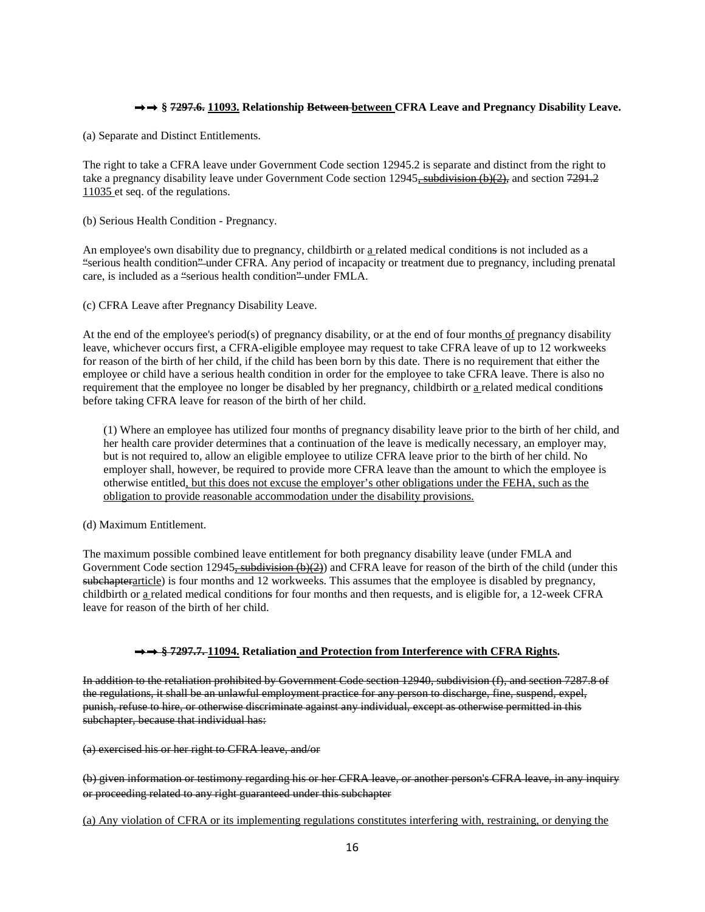### **§ 7297.6. 11093. Relationship Between between CFRA Leave and Pregnancy Disability Leave.**

(a) Separate and Distinct Entitlements.

The right to take a CFRA leave under Government Code section 12945.2 is separate and distinct from the right to take a pregnancy disability leave under Government Code section  $12945$ , subdivision  $(b)(2)$ , and section  $7291.2$ 11035 et seq. of the regulations.

(b) Serious Health Condition - Pregnancy.

An employee's own disability due to pregnancy, childbirth or a related medical conditions is not included as a "serious health condition" under CFRA. Any period of incapacity or treatment due to pregnancy, including prenatal care, is included as a "serious health condition" under FMLA.

(c) CFRA Leave after Pregnancy Disability Leave.

At the end of the employee's period(s) of pregnancy disability, or at the end of four months of pregnancy disability leave, whichever occurs first, a CFRA-eligible employee may request to take CFRA leave of up to 12 workweeks for reason of the birth of her child, if the child has been born by this date. There is no requirement that either the employee or child have a serious health condition in order for the employee to take CFRA leave. There is also no requirement that the employee no longer be disabled by her pregnancy, childbirth or a related medical conditions before taking CFRA leave for reason of the birth of her child.

(1) Where an employee has utilized four months of pregnancy disability leave prior to the birth of her child, and her health care provider determines that a continuation of the leave is medically necessary, an employer may, but is not required to, allow an eligible employee to utilize CFRA leave prior to the birth of her child. No employer shall, however, be required to provide more CFRA leave than the amount to which the employee is otherwise entitled, but this does not excuse the employer's other obligations under the FEHA, such as the obligation to provide reasonable accommodation under the disability provisions.

(d) Maximum Entitlement.

The maximum possible combined leave entitlement for both pregnancy disability leave (under FMLA and Government Code section 12945, subdivision  $(b)(2)$  and CFRA leave for reason of the birth of the child (under this subchapterarticle) is four months and 12 workweeks. This assumes that the employee is disabled by pregnancy, childbirth or a related medical conditions for four months and then requests, and is eligible for, a 12-week CFRA leave for reason of the birth of her child.

# $\rightarrow$  **<del>§</del> 7297.7. 11094.</del> Retaliation and Protection from Interference with CFRA Rights.**

In addition to the retaliation prohibited by Government Code section 12940, subdivision (f), and section 7287.8 of the regulations, it shall be an unlawful employment practice for any person to discharge, fine, suspend, expel, punish, refuse to hire, or otherwise discriminate against any individual, except as otherwise permitted in this subchapter, because that individual has:

(a) exercised his or her right to CFRA leave, and/or

(b) given information or testimony regarding his or her CFRA leave, or another person's CFRA leave, in any inquiry or proceeding related to any right guaranteed under this subchapter

(a) Any violation of CFRA or its implementing regulations constitutes interfering with, restraining, or denying the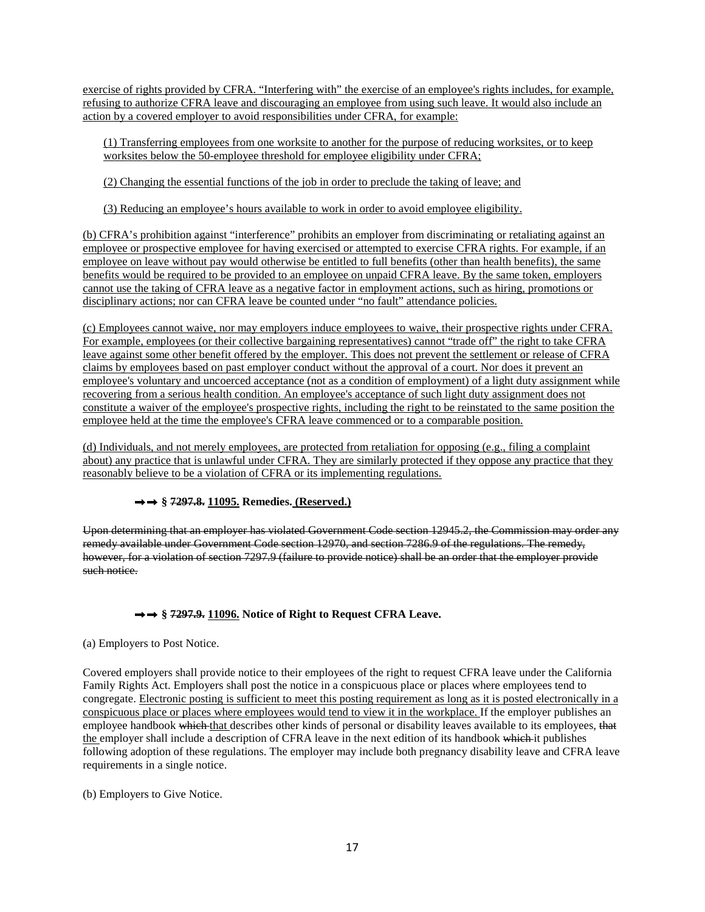exercise of rights provided by CFRA. "Interfering with" the exercise of an employee's rights includes, for example, refusing to authorize CFRA leave and discouraging an employee from using such leave. It would also include an action by a covered employer to avoid responsibilities under CFRA, for example:

(1) Transferring employees from one worksite to another for the purpose of reducing worksites, or to keep worksites below the 50-employee threshold for employee eligibility under CFRA;

(2) Changing the essential functions of the job in order to preclude the taking of leave; and

(3) Reducing an employee's hours available to work in order to avoid employee eligibility.

(b) CFRA's prohibition against "interference" prohibits an employer from discriminating or retaliating against an employee or prospective employee for having exercised or attempted to exercise CFRA rights. For example, if an employee on leave without pay would otherwise be entitled to full benefits (other than health benefits), the same benefits would be required to be provided to an employee on unpaid CFRA leave. By the same token, employers cannot use the taking of CFRA leave as a negative factor in employment actions, such as hiring, promotions or disciplinary actions; nor can CFRA leave be counted under "no fault" attendance policies.

(c) Employees cannot waive, nor may employers induce employees to waive, their prospective rights under CFRA. For example, employees (or their collective bargaining representatives) cannot "trade off" the right to take CFRA leave against some other benefit offered by the employer. This does not prevent the settlement or release of CFRA claims by employees based on past employer conduct without the approval of a court. Nor does it prevent an employee's voluntary and uncoerced acceptance (not as a condition of employment) of a light duty assignment while recovering from a serious health condition. An employee's acceptance of such light duty assignment does not constitute a waiver of the employee's prospective rights, including the right to be reinstated to the same position the employee held at the time the employee's CFRA leave commenced or to a comparable position.

(d) Individuals, and not merely employees, are protected from retaliation for opposing (e.g., filing a complaint about) any practice that is unlawful under CFRA. They are similarly protected if they oppose any practice that they reasonably believe to be a violation of CFRA or its implementing regulations.

# **§ 7297.8. 11095. Remedies. (Reserved.)**

Upon determining that an employer has violated Government Code section 12945.2, the Commission may order any remedy available under Government Code section 12970, and section 7286.9 of the regulations. The remedy, however, for a violation of section 7297.9 (failure to provide notice) shall be an order that the employer provide such notice.

# **§ 7297.9. 11096. Notice of Right to Request CFRA Leave.**

(a) Employers to Post Notice.

Covered employers shall provide notice to their employees of the right to request CFRA leave under the California Family Rights Act. Employers shall post the notice in a conspicuous place or places where employees tend to congregate. Electronic posting is sufficient to meet this posting requirement as long as it is posted electronically in a conspicuous place or places where employees would tend to view it in the workplace. If the employer publishes an employee handbook which that describes other kinds of personal or disability leaves available to its employees, that the employer shall include a description of CFRA leave in the next edition of its handbook which it publishes following adoption of these regulations. The employer may include both pregnancy disability leave and CFRA leave requirements in a single notice.

(b) Employers to Give Notice.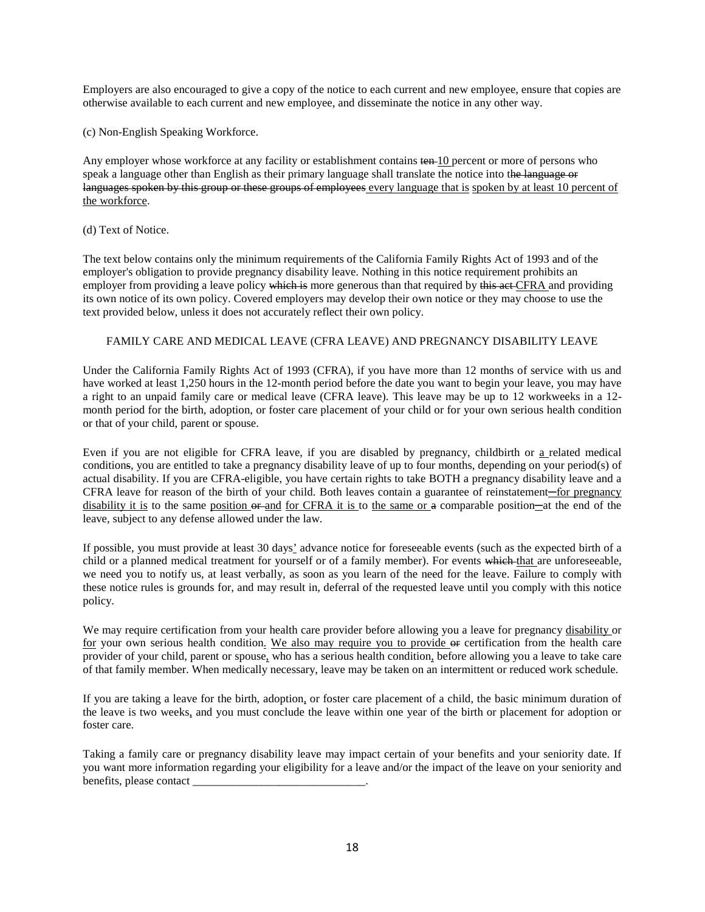Employers are also encouraged to give a copy of the notice to each current and new employee, ensure that copies are otherwise available to each current and new employee, and disseminate the notice in any other way.

(c) Non-English Speaking Workforce.

Any employer whose workforce at any facility or establishment contains ten 10 percent or more of persons who speak a language other than English as their primary language shall translate the notice into the language or languages spoken by this group or these groups of employees every language that is spoken by at least 10 percent of the workforce.

### (d) Text of Notice.

The text below contains only the minimum requirements of the California Family Rights Act of 1993 and of the employer's obligation to provide pregnancy disability leave. Nothing in this notice requirement prohibits an employer from providing a leave policy which is more generous than that required by this act CFRA and providing its own notice of its own policy. Covered employers may develop their own notice or they may choose to use the text provided below, unless it does not accurately reflect their own policy.

# FAMILY CARE AND MEDICAL LEAVE (CFRA LEAVE) AND PREGNANCY DISABILITY LEAVE

Under the California Family Rights Act of 1993 (CFRA), if you have more than 12 months of service with us and have worked at least 1,250 hours in the 12-month period before the date you want to begin your leave, you may have a right to an unpaid family care or medical leave (CFRA leave). This leave may be up to 12 workweeks in a 12 month period for the birth, adoption, or foster care placement of your child or for your own serious health condition or that of your child, parent or spouse.

Even if you are not eligible for CFRA leave, if you are disabled by pregnancy, childbirth or a related medical conditions, you are entitled to take a pregnancy disability leave of up to four months, depending on your period(s) of actual disability. If you are CFRA-eligible, you have certain rights to take BOTH a pregnancy disability leave and a CFRA leave for reason of the birth of your child. Both leaves contain a guarantee of reinstatement—for pregnancy disability it is to the same position or and for CFRA it is to the same or a comparable position—at the end of the leave, subject to any defense allowed under the law.

If possible, you must provide at least 30 days' advance notice for foreseeable events (such as the expected birth of a child or a planned medical treatment for yourself or of a family member). For events which that are unforeseeable, we need you to notify us, at least verbally, as soon as you learn of the need for the leave. Failure to comply with these notice rules is grounds for, and may result in, deferral of the requested leave until you comply with this notice policy.

We may require certification from your health care provider before allowing you a leave for pregnancy disability or for your own serious health condition. We also may require you to provide or certification from the health care provider of your child, parent or spouse, who has a serious health condition, before allowing you a leave to take care of that family member. When medically necessary, leave may be taken on an intermittent or reduced work schedule.

If you are taking a leave for the birth, adoption, or foster care placement of a child, the basic minimum duration of the leave is two weeks, and you must conclude the leave within one year of the birth or placement for adoption or foster care.

Taking a family care or pregnancy disability leave may impact certain of your benefits and your seniority date. If you want more information regarding your eligibility for a leave and/or the impact of the leave on your seniority and benefits, please contact